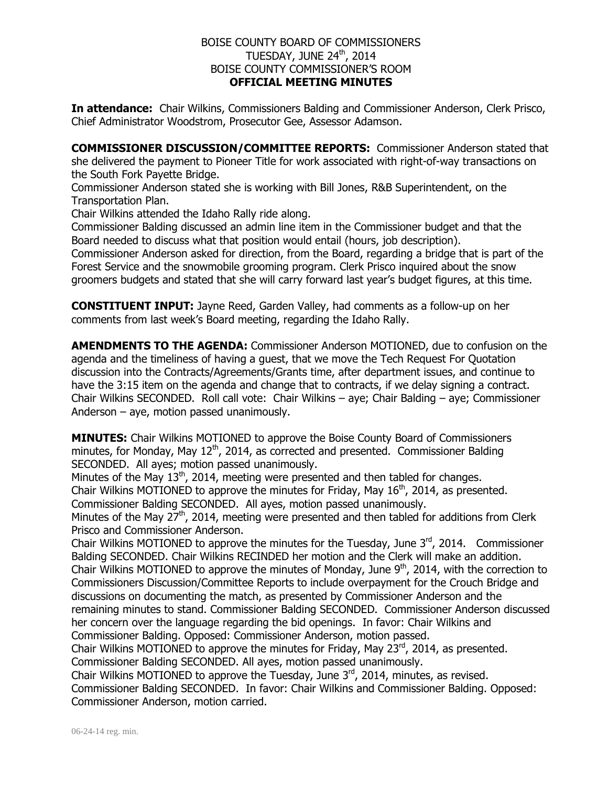## BOISE COUNTY BOARD OF COMMISSIONERS TUESDAY, JUNE 24th, 2014 BOISE COUNTY COMMISSIONER'S ROOM **OFFICIAL MEETING MINUTES**

**In attendance:** Chair Wilkins, Commissioners Balding and Commissioner Anderson, Clerk Prisco, Chief Administrator Woodstrom, Prosecutor Gee, Assessor Adamson.

**COMMISSIONER DISCUSSION/COMMITTEE REPORTS:** Commissioner Anderson stated that she delivered the payment to Pioneer Title for work associated with right-of-way transactions on the South Fork Payette Bridge.

Commissioner Anderson stated she is working with Bill Jones, R&B Superintendent, on the Transportation Plan.

Chair Wilkins attended the Idaho Rally ride along.

Commissioner Balding discussed an admin line item in the Commissioner budget and that the Board needed to discuss what that position would entail (hours, job description).

Commissioner Anderson asked for direction, from the Board, regarding a bridge that is part of the Forest Service and the snowmobile grooming program. Clerk Prisco inquired about the snow groomers budgets and stated that she will carry forward last year's budget figures, at this time.

**CONSTITUENT INPUT:** Jayne Reed, Garden Valley, had comments as a follow-up on her comments from last week's Board meeting, regarding the Idaho Rally.

**AMENDMENTS TO THE AGENDA:** Commissioner Anderson MOTIONED, due to confusion on the agenda and the timeliness of having a guest, that we move the Tech Request For Quotation discussion into the Contracts/Agreements/Grants time, after department issues, and continue to have the 3:15 item on the agenda and change that to contracts, if we delay signing a contract. Chair Wilkins SECONDED. Roll call vote: Chair Wilkins – aye; Chair Balding – aye; Commissioner Anderson – aye, motion passed unanimously.

**MINUTES:** Chair Wilkins MOTIONED to approve the Boise County Board of Commissioners minutes, for Monday, May  $12<sup>th</sup>$ , 2014, as corrected and presented. Commissioner Balding SECONDED. All ayes; motion passed unanimously.

Minutes of the May  $13<sup>th</sup>$ , 2014, meeting were presented and then tabled for changes. Chair Wilkins MOTIONED to approve the minutes for Friday, May  $16<sup>th</sup>$ , 2014, as presented. Commissioner Balding SECONDED. All ayes, motion passed unanimously.

Minutes of the May  $27<sup>th</sup>$ , 2014, meeting were presented and then tabled for additions from Clerk Prisco and Commissioner Anderson.

Chair Wilkins MOTIONED to approve the minutes for the Tuesday, June  $3<sup>rd</sup>$ , 2014. Commissioner Balding SECONDED. Chair Wilkins RECINDED her motion and the Clerk will make an addition. Chair Wilkins MOTIONED to approve the minutes of Monday, June  $9<sup>th</sup>$ , 2014, with the correction to Commissioners Discussion/Committee Reports to include overpayment for the Crouch Bridge and discussions on documenting the match, as presented by Commissioner Anderson and the remaining minutes to stand. Commissioner Balding SECONDED. Commissioner Anderson discussed her concern over the language regarding the bid openings. In favor: Chair Wilkins and Commissioner Balding. Opposed: Commissioner Anderson, motion passed.

Chair Wilkins MOTIONED to approve the minutes for Friday, May  $23<sup>rd</sup>$ , 2014, as presented. Commissioner Balding SECONDED. All ayes, motion passed unanimously.

Chair Wilkins MOTIONED to approve the Tuesday, June  $3<sup>rd</sup>$ , 2014, minutes, as revised. Commissioner Balding SECONDED. In favor: Chair Wilkins and Commissioner Balding. Opposed: Commissioner Anderson, motion carried.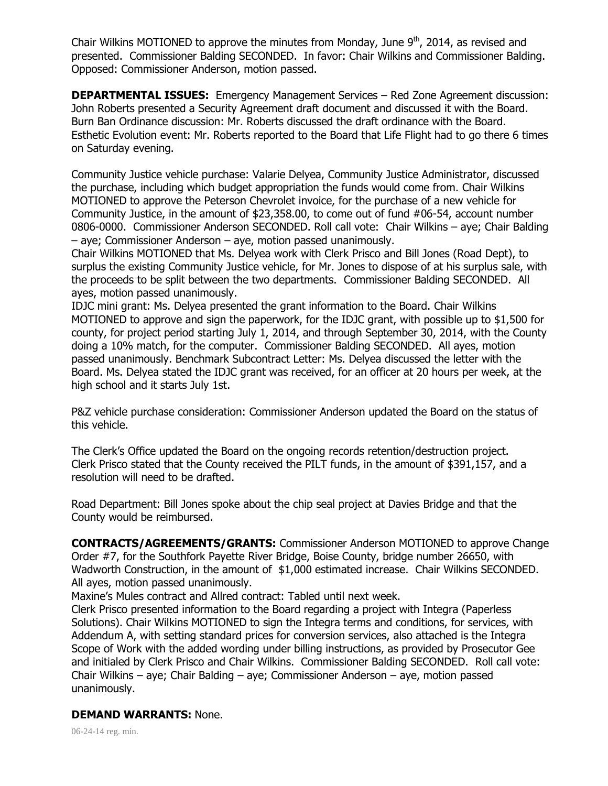Chair Wilkins MOTIONED to approve the minutes from Monday, June  $9<sup>th</sup>$ , 2014, as revised and presented. Commissioner Balding SECONDED. In favor: Chair Wilkins and Commissioner Balding. Opposed: Commissioner Anderson, motion passed.

**DEPARTMENTAL ISSUES:** Emergency Management Services – Red Zone Agreement discussion: John Roberts presented a Security Agreement draft document and discussed it with the Board. Burn Ban Ordinance discussion: Mr. Roberts discussed the draft ordinance with the Board. Esthetic Evolution event: Mr. Roberts reported to the Board that Life Flight had to go there 6 times on Saturday evening.

Community Justice vehicle purchase: Valarie Delyea, Community Justice Administrator, discussed the purchase, including which budget appropriation the funds would come from. Chair Wilkins MOTIONED to approve the Peterson Chevrolet invoice, for the purchase of a new vehicle for Community Justice, in the amount of \$23,358.00, to come out of fund #06-54, account number 0806-0000. Commissioner Anderson SECONDED. Roll call vote: Chair Wilkins – aye; Chair Balding – aye; Commissioner Anderson – aye, motion passed unanimously.

Chair Wilkins MOTIONED that Ms. Delyea work with Clerk Prisco and Bill Jones (Road Dept), to surplus the existing Community Justice vehicle, for Mr. Jones to dispose of at his surplus sale, with the proceeds to be split between the two departments. Commissioner Balding SECONDED. All ayes, motion passed unanimously.

IDJC mini grant: Ms. Delyea presented the grant information to the Board. Chair Wilkins MOTIONED to approve and sign the paperwork, for the IDJC grant, with possible up to \$1,500 for county, for project period starting July 1, 2014, and through September 30, 2014, with the County doing a 10% match, for the computer. Commissioner Balding SECONDED. All ayes, motion passed unanimously. Benchmark Subcontract Letter: Ms. Delyea discussed the letter with the Board. Ms. Delyea stated the IDJC grant was received, for an officer at 20 hours per week, at the high school and it starts July 1st.

P&Z vehicle purchase consideration: Commissioner Anderson updated the Board on the status of this vehicle.

The Clerk's Office updated the Board on the ongoing records retention/destruction project. Clerk Prisco stated that the County received the PILT funds, in the amount of \$391,157, and a resolution will need to be drafted.

Road Department: Bill Jones spoke about the chip seal project at Davies Bridge and that the County would be reimbursed.

**CONTRACTS/AGREEMENTS/GRANTS:** Commissioner Anderson MOTIONED to approve Change Order #7, for the Southfork Payette River Bridge, Boise County, bridge number 26650, with Wadworth Construction, in the amount of \$1,000 estimated increase. Chair Wilkins SECONDED. All ayes, motion passed unanimously.

Maxine's Mules contract and Allred contract: Tabled until next week.

Clerk Prisco presented information to the Board regarding a project with Integra (Paperless Solutions). Chair Wilkins MOTIONED to sign the Integra terms and conditions, for services, with Addendum A, with setting standard prices for conversion services, also attached is the Integra Scope of Work with the added wording under billing instructions, as provided by Prosecutor Gee and initialed by Clerk Prisco and Chair Wilkins. Commissioner Balding SECONDED. Roll call vote: Chair Wilkins – aye; Chair Balding – aye; Commissioner Anderson – aye, motion passed unanimously.

## **DEMAND WARRANTS:** None.

06-24-14 reg. min.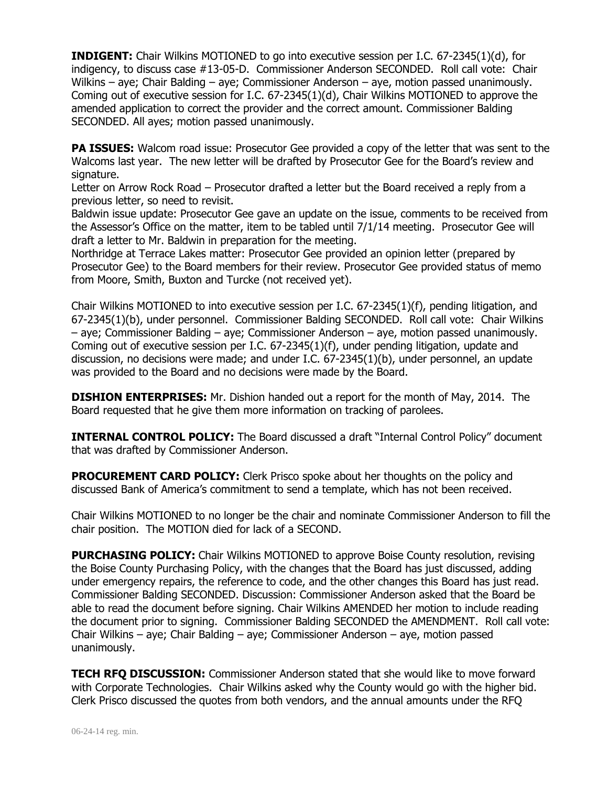**INDIGENT:** Chair Wilkins MOTIONED to go into executive session per I.C. 67-2345(1)(d), for indigency, to discuss case #13-05-D. Commissioner Anderson SECONDED. Roll call vote: Chair Wilkins – aye; Chair Balding – aye; Commissioner Anderson – aye, motion passed unanimously. Coming out of executive session for I.C. 67-2345(1)(d), Chair Wilkins MOTIONED to approve the amended application to correct the provider and the correct amount. Commissioner Balding SECONDED. All ayes; motion passed unanimously.

**PA ISSUES:** Walcom road issue: Prosecutor Gee provided a copy of the letter that was sent to the Walcoms last year. The new letter will be drafted by Prosecutor Gee for the Board's review and signature.

Letter on Arrow Rock Road – Prosecutor drafted a letter but the Board received a reply from a previous letter, so need to revisit.

Baldwin issue update: Prosecutor Gee gave an update on the issue, comments to be received from the Assessor's Office on the matter, item to be tabled until 7/1/14 meeting. Prosecutor Gee will draft a letter to Mr. Baldwin in preparation for the meeting.

Northridge at Terrace Lakes matter: Prosecutor Gee provided an opinion letter (prepared by Prosecutor Gee) to the Board members for their review. Prosecutor Gee provided status of memo from Moore, Smith, Buxton and Turcke (not received yet).

Chair Wilkins MOTIONED to into executive session per I.C. 67-2345(1)(f), pending litigation, and 67-2345(1)(b), under personnel. Commissioner Balding SECONDED. Roll call vote: Chair Wilkins – aye; Commissioner Balding – aye; Commissioner Anderson – aye, motion passed unanimously. Coming out of executive session per I.C. 67-2345(1)(f), under pending litigation, update and discussion, no decisions were made; and under I.C. 67-2345(1)(b), under personnel, an update was provided to the Board and no decisions were made by the Board.

**DISHION ENTERPRISES:** Mr. Dishion handed out a report for the month of May, 2014. The Board requested that he give them more information on tracking of parolees.

**INTERNAL CONTROL POLICY:** The Board discussed a draft "Internal Control Policy" document that was drafted by Commissioner Anderson.

**PROCUREMENT CARD POLICY:** Clerk Prisco spoke about her thoughts on the policy and discussed Bank of America's commitment to send a template, which has not been received.

Chair Wilkins MOTIONED to no longer be the chair and nominate Commissioner Anderson to fill the chair position. The MOTION died for lack of a SECOND.

**PURCHASING POLICY:** Chair Wilkins MOTIONED to approve Boise County resolution, revising the Boise County Purchasing Policy, with the changes that the Board has just discussed, adding under emergency repairs, the reference to code, and the other changes this Board has just read. Commissioner Balding SECONDED. Discussion: Commissioner Anderson asked that the Board be able to read the document before signing. Chair Wilkins AMENDED her motion to include reading the document prior to signing. Commissioner Balding SECONDED the AMENDMENT. Roll call vote: Chair Wilkins – aye; Chair Balding – aye; Commissioner Anderson – aye, motion passed unanimously.

**TECH RFQ DISCUSSION:** Commissioner Anderson stated that she would like to move forward with Corporate Technologies. Chair Wilkins asked why the County would go with the higher bid. Clerk Prisco discussed the quotes from both vendors, and the annual amounts under the RFQ